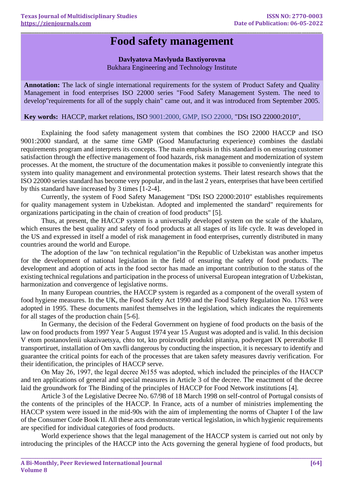## **Food safety management**

**\_\_\_\_\_\_\_\_\_\_\_\_\_\_\_\_\_\_\_\_\_\_\_\_\_\_\_\_\_\_\_\_\_\_\_\_\_\_\_\_\_\_\_\_\_\_\_\_\_\_\_\_\_\_\_\_\_\_\_\_\_\_\_\_\_\_\_\_\_\_\_\_\_\_\_\_\_\_\_\_\_\_\_\_\_\_\_\_\_\_\_\_\_\_\_\_\_\_\_\_\_\_\_\_\_\_\_\_\_\_\_\_\_\_\_\_\_\_\_\_\_\_\_\_\_\_\_\_\_\_\_\_\_\_**

## **Davlyatova Mavlyuda Baxtiyorovna**

Bukhara Engineering and Technology Institute

**Annotation:** The lack of single international requirements for the system of Product Safety and Quality Management in food enterprises ISO 22000 series "Food Safety Management System. The need to develop"requirements for all of the supply chain" came out, and it was introduced from September 2005.

**Key words:** HACCP, market relations, ISO 9001:2000, GMP, ISO 22000, "DSt ISO 22000:2010",

Explaining the food safety management system that combines the ISO 22000 HACCP and ISO 9001:2000 standard, at the same time GMP (Good Manufacturing experience) combines the dastlabi requirements program and interprets its concepts. The main emphasis in this standard is on ensuring customer satisfaction through the effective management of food hazards, risk management and modernization of system processes. At the moment, the structure of the documentation makes it possible to conveniently integrate this system into quality management and environmental protection systems. Their latest research shows that the ISO 22000 series standard has become very popular, and in the last 2 years, enterprises that have been certified by this standard have increased by 3 times [1-2-4].

Currently, the system of Food Safety Management "DSt ISO 22000:2010" establishes requirements for quality management system in Uzbekistan. Adopted and implemented the standard" requirements for organizations participating in the chain of creation of food products" [5].

Thus, at present, the HACCP system is a universally developed system on the scale of the khalaro, which ensures the best quality and safety of food products at all stages of its life cycle. It was developed in the US and expressed in itself a model of risk management in food enterprises, currently distributed in many countries around the world and Europe.

The adoption of the law "on technical regulation"in the Republic of Uzbekistan was another impetus for the development of national legislation in the field of ensuring the safety of food products. The development and adoption of acts in the food sector has made an important contribution to the status of the existing technical regulations and participation in the process of universal European integration of Uzbekistan, harmonization and convergence of legislative norms.

In many European countries, the HACCP system is regarded as a component of the overall system of food hygiene measures. In the UK, the Food Safety Act 1990 and the Food Safety Regulation No. 1763 were adopted in 1995. These documents manifest themselves in the legislation, which indicates the requirements for all stages of the production chain [5-6].

In Germany, the decision of the Federal Government on hygiene of food products on the basis of the law on food products from 1997 Year 5 August 1974 year 15 August was adopted and is valid. In this decision V etom postanovlenii ukazivaetsya, chto tot, kto proizvodit produkti pitaniya, podvergaet IX pererabotke Il transportiruet, installation of Om xavfli dangerous by conducting the inspection, it is necessary to identify and guarantee the critical points for each of the processes that are taken safety measures davriy verification. For their identification, the principles of HACCP serve.

On May 26, 1997, the legal decree №155 was adopted, which included the principles of the HACCP and ten applications of general and special measures in Article 3 of the decree. The enactment of the decree laid the groundwork for The Binding of the principles of HACCP for Food Network institutions [4].

Article 3 of the Legislative Decree No. 67/98 of 18 March 1998 on self-control of Portugal consists of the contents of the principles of the HACCP. In France, acts of a number of ministries implementing the HACCP system were issued in the mid-90s with the aim of implementing the norms of Chapter I of the law of the Consumer Code Book II. All these acts demonstrate vertical legislation, in which hygienic requirements are specified for individual categories of food products.

World experience shows that the legal management of the HACCP system is carried out not only by introducing the principles of the HACCP into the Acts governing the general hygiene of food products, but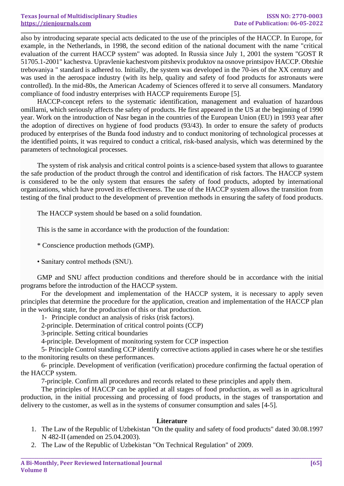**\_\_\_\_\_\_\_\_\_\_\_\_\_\_\_\_\_\_\_\_\_\_\_\_\_\_\_\_\_\_\_\_\_\_\_\_\_\_\_\_\_\_\_\_\_\_\_\_\_\_\_\_\_\_\_\_\_\_\_\_\_\_\_\_\_\_\_\_\_\_\_\_\_\_\_\_\_\_\_\_\_\_\_\_\_\_\_\_\_\_\_\_\_\_\_\_\_\_\_\_\_\_\_\_\_\_\_\_\_\_\_\_\_\_\_\_\_\_\_\_\_\_\_\_\_\_\_\_\_\_\_\_\_\_** also by introducing separate special acts dedicated to the use of the principles of the HACCP. In Europe, for example, in the Netherlands, in 1998, the second edition of the national document with the name "critical evaluation of the current HACCP system" was adopted. In Russia since July 1, 2001 the system "GOST R 51705.1-2001" kachestva. Upravlenie kachestvom pitshevix produktov na osnove printsipov HACCP. Obtshie trebovaniya " standard is adhered to. Initially, the system was developed in the 70-ies of the XX century and was used in the aerospace industry (with its help, quality and safety of food products for astronauts were controlled). In the mid-80s, the American Academy of Sciences offered it to serve all consumers. Mandatory compliance of food industry enterprises with HACCP requirements Europe [5].

HACCP-concept refers to the systematic identification, management and evaluation of hazardous omillarni, which seriously affects the safety of products. He first appeared in the US at the beginning of 1990 year. Work on the introduction of Nasr began in the countries of the European Union (EU) in 1993 year after the adoption of directives on hygiene of food products (93/43). In order to ensure the safety of products produced by enterprises of the Bunda food industry and to conduct monitoring of technological processes at the identified points, it was required to conduct a critical, risk-based analysis, which was determined by the parameters of technological processes.

The system of risk analysis and critical control points is a science-based system that allows to guarantee the safe production of the product through the control and identification of risk factors. The HACCP system is considered to be the only system that ensures the safety of food products, adopted by international organizations, which have proved its effectiveness. The use of the HACCP system allows the transition from testing of the final product to the development of prevention methods in ensuring the safety of food products.

The HACCP system should be based on a solid foundation.

This is the same in accordance with the production of the foundation:

\* Conscience production methods (GMP).

• Sanitary control methods (SNU).

GMP and SNU affect production conditions and therefore should be in accordance with the initial programs before the introduction of the HACCP system.

For the development and implementation of the HACCP system, it is necessary to apply seven principles that determine the procedure for the application, creation and implementation of the HACCP plan in the working state, for the production of this or that production.

1- Principle conduct an analysis of risks (risk factors).

2-principle. Determination of critical control points (CCP)

3-principle. Setting critical boundaries

4-principle. Development of monitoring system for CCP inspection

5- Principle Control standing CCP identify corrective actions applied in cases where he or she testifies to the monitoring results on these performances.

6- principle. Development of verification (verification) procedure confirming the factual operation of the HACCP system.

7-principle. Confirm all procedures and records related to these principles and apply them.

The principles of HACCP can be applied at all stages of food production, as well as in agricultural production, in the initial processing and processing of food products, in the stages of transportation and delivery to the customer, as well as in the systems of consumer consumption and sales [4-5].

## **Literature**

- 1. The Law of the Republic of Uzbekistan "On the quality and safety of food products" dated 30.08.1997 N 482-II (amended on 25.04.2003).
- 2. The Law of the Republic of Uzbekistan "On Technical Regulation" of 2009.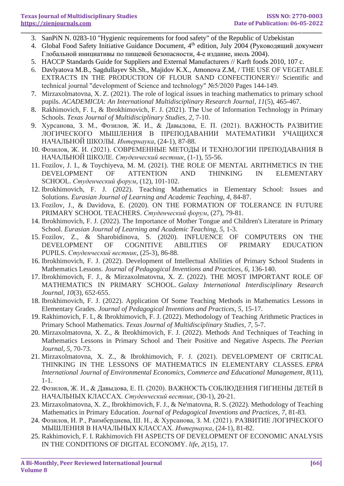- **\_\_\_\_\_\_\_\_\_\_\_\_\_\_\_\_\_\_\_\_\_\_\_\_\_\_\_\_\_\_\_\_\_\_\_\_\_\_\_\_\_\_\_\_\_\_\_\_\_\_\_\_\_\_\_\_\_\_\_\_\_\_\_\_\_\_\_\_\_\_\_\_\_\_\_\_\_\_\_\_\_\_\_\_\_\_\_\_\_\_\_\_\_\_\_\_\_\_\_\_\_\_\_\_\_\_\_\_\_\_\_\_\_\_\_\_\_\_\_\_\_\_\_\_\_\_\_\_\_\_\_\_\_\_** 3. SanPiN N. 0283-10 "Hygienic requirements for food safety" of the Republic of Uzbekistan
	- 4. Global Food Safety Initiative Guidance Document, 4<sup>th</sup> edition, July 2004 (Руководящий документ Глобальной инициативы по пищевой безопасности, 4-е издание, июль 2004).
	- 5. HACCP Standards Guide for Suppliers and External Manufacturers // Karft foods 2010, 107 c.
	- 6. Davlyatova M.B., Sagdullayev Sh.Sh., Majidov K.X., Amonova Z.M, / THE USE OF VEGETABLE EXTRACTS IN THE PRODUCTION OF FLOUR SAND CONFECTIONERY// Scientific and technical journal "development of Science and technology" №5/2020 Pages 144-149.
	- 7. Mirzaxolmatovna, X. Z. (2021). The role of logical issues in teaching mathematics to primary school pupils. *ACADEMICIA: An International Multidisciplinary Research Journal*, *11*(5), 465-467.
	- 8. Rakhimovich, F. I., & Ibrokhimovich, F. J. (2021). The Use of Information Technology in Primary Schools. *Texas Journal of Multidisciplinary Studies*, *2*, 7-10.
	- 9. Хурсанова, З. М., Фозилов, Ж. И., & Давыдова, Е. П. (2021). ВАЖНОСТЬ РАЗВИТИЕ ЛОГИЧЕСКОГО МЫШЛЕНИЯ В ПРЕПОДАВАНИИ МАТЕМАТИКИ УЧАЩИХСЯ НАЧАЛЬНОЙ ШКОЛЫ. *Интернаука*, (24-1), 87-88.
	- 10. Фозилов, Ж. И. (2021). СОВРЕМЕННЫЕ МЕТОДЫ И ТЕХНОЛОГИИ ПРЕПОДАВАНИЯ В НАЧАЛЬНОЙ ШКОЛЕ. *Студенческий вестник*, (1-1), 55-56.
	- 11. Fozilov, J. I., & Toychiyeva, M. M. (2021). THE ROLE OF MENTAL ARITHMETICS IN THE DEVELOPMENT OF ATTENTION AND THINKING IN ELEMENTARY SCHOOL. *Студенческий форум*, (12), 101-102.
	- 12. Ibrokhimovich, F. J. (2022). Teaching Mathematics in Elementary School: Issues and Solutions. *Eurasian Journal of Learning and Academic Teaching*, *4*, 84-87.
	- 13. Fozilov, J., & Davidova, E. (2020). ON THE FORMATION OF TOLERANCE IN FUTURE PRIMARY SCHOOL TEACHERS. *Студенческий форум*, (27), 79-81.
	- 14. Ibrokhimovich, F. J. (2022). The Importance of Mother Tongue and Children's Literature in Primary School. *Eurasian Journal of Learning and Academic Teaching*, *5*, 1-3.
	- 15. Fozilov, Z., & Sharobidinova, S. (2020). INFLUENCE OF COMPUTERS ON THE DEVELOPMENT OF COGNITIVE ABILITIES OF PRIMARY EDUCATION PUPILS. *Студенческий вестник*, (25-3), 86-88.
	- 16. Ibrokhimovich, F. J. (2022). Development of Intellectual Abilities of Primary School Students in Mathematics Lessons. *Journal of Pedagogical Inventions and Practices*, *6*, 136-140.
	- 17. Ibrokhimovich, F. J., & Mirzaxolmatovna, X. Z. (2022). THE MOST IMPORTANT ROLE OF MATHEMATICS IN PRIMARY SCHOOL. *Galaxy International Interdisciplinary Research Journal*, *10*(3), 652-655.
	- 18. Ibrokhimovich, F. J. (2022). Application Of Some Teaching Methods in Mathematics Lessons in Elementary Grades. *Journal of Pedagogical Inventions and Practices*, *5*, 15-17.
	- 19. Rakhimovich, F. I., & Ibrokhimovich, F. J. (2022). Methodology of Teaching Arithmetic Practices in Primary School Mathematics. *Texas Journal of Multidisciplinary Studies*, *7*, 5-7.
	- 20. Mirzaxolmatovna, X. Z., & Ibrokhimovich, F. J. (2022). Methods And Techniques of Teaching in Mathematics Lessons in Primary School and Their Positive and Negative Aspects. *The Peerian Journal*, *5*, 70-73.
	- 21. Mirzaxolmatovna, X. Z., & Ibrokhimovich, F. J. (2021). DEVELOPMENT OF CRITICAL THINKING IN THE LESSONS OF MATHEMATICS IN ELEMENTARY CLASSES. *EPRA International Journal of Environmental Economics, Commerce and Educational Management*, *8*(11), 1-1.
	- 22. Фозилов, Ж. И., & Давыдова, Е. П. (2020). ВАЖНОСТЬ СОБЛЮДЕНИЯ ГИГИЕНЫ ДЕТЕЙ В НАЧАЛЬНЫХ КЛАССАХ. *Студенческий вестник*, (30-1), 20-21.
	- 23. Mirzaxolmatovna, X. Z., Ibrokhimovich, F. J., & Ne'matovna, R. S. (2022). Methodology of Teaching Mathematics in Primary Education. *Journal of Pedagogical Inventions and Practices*, *7*, 81-83.
	- 24. Фозилов, И. Р., Раимбердиева, Ш. Н., & Хурсанова, З. М. (2021). РАЗВИТИЕ ЛОГИЧЕСКОГО МЫШЛЕНИЯ В НАЧАЛЬНЫХ КЛАССАХ. *Интернаука*, (24-1), 81-82.
	- 25. Rakhimovich, F. I. Rakhimovich FH ASPECTS OF DEVELOPMENT OF ECONOMIC ANALYSIS IN THE CONDITIONS OF DIGITAL ECONOMY. *life*, *2*(15), 17.